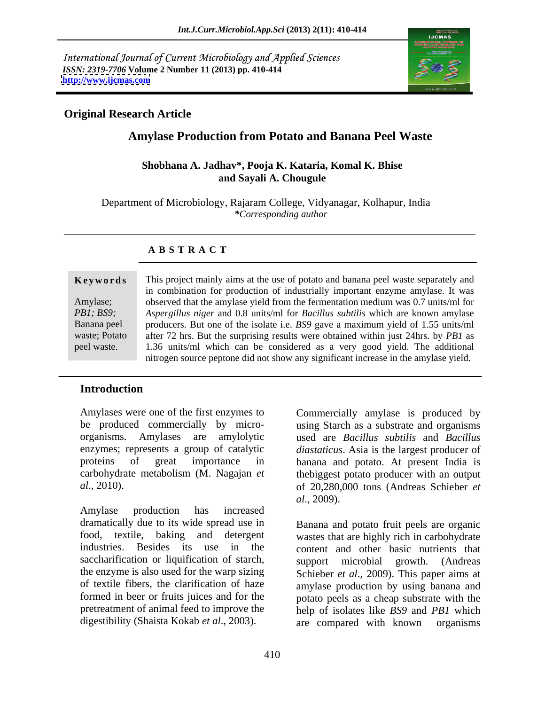International Journal of Current Microbiology and Applied Sciences *ISSN: 2319-7706* **Volume 2 Number 11 (2013) pp. 410-414 <http://www.ijcmas.com>**



## **Original Research Article**

# **Amylase Production from Potato and Banana Peel Waste**

### **Shobhana A. Jadhav\*, Pooja K. Kataria, Komal K. Bhise and Sayali A. Chougule**

 Department of Microbiology, Rajaram College, Vidyanagar, Kolhapur, India *\*Corresponding author*

## **A B S T R A C T**

**Keywords** This project mainly aims at the use of potato and banana peel waste separately and Amylase; observed that the amylase yield from the fermentation medium was 0.7 units/ml for *PB1; BS9; Aspergillus niger* and 0.8 units/ml for *Bacillus subtilis* which are known amylase Banana peel producers. But one of the isolate i.e. *BS9* gave a maximum yield of 1.55 units/ml waste; Potato after 72 hrs. But the surprising results were obtained within just 24hrs. by *PB1* as peel waste. 1.36 units/ml which can be considered as a very good yield. The additional in combination for production of industrially important enzyme amylase. It was nitrogen source peptone did not show any significant increase in the amylase yield.

## **Introduction**

Amylases were one of the first enzymes to Commercially amylase is produced by be produced commercially by micro- using Starch as a substrate and organisms organisms. Amylases are amylolytic used are *Bacillus subtilis* and *Bacillus* enzymes; represents a group of catalytic *diastaticus*. Asia is the largest producer of proteins of great importance in banana and potato. At present India is carbohydrate metabolism (M. Nagajan *et*  thebiggest potato producer with an output

Amylase production has increased dramatically due to its wide spread use in saccharification or liquification of starch, support microbial growth. (Andreas

*al*., 2010). of 20,280,000 tons (Andreas Schieber *et al*., 2009).

food, textile, baking and detergent wastes that are highly rich in carbohydrate industries. Besides its use in the content and other basic nutrients that the enzyme is also used for the warp sizing Schieber *et al*., 2009). This paper aims at of textile fibers, the clarification of haze amylase production by using banana and formed in beer or fruits juices and for the potato peels as a cheap substrate with the pretreatment of animal feed to improve the help of isolates like *BS9* and *PB1* which digestibility (Shaista Kokab *et al*., 2003). Banana and potato fruit peels are organic support microbial growth. are compared with known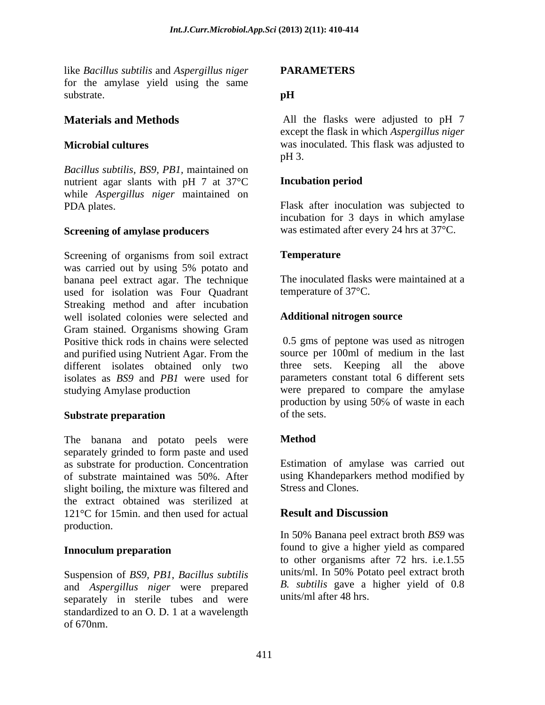like *Bacillus subtilis* and *Aspergillus niger* for the amylase yield using the same substrate.  $\mathbf{p}$  **H** 

*Bacillus subtilis, BS9, PB1,* maintained on nutrient agar slants with pH 7 at 37°C **Incubation period** while *Aspergillus niger* maintained on PDA plates. Flask after inoculation was subjected to

Screening of organisms from soil extract **Temperature** was carried out by using 5% potato and banana peel extract agar. The technique used for isolation was Four Quadrant Streaking method and after incubation well isolated colonies were selected and Gram stained. Organisms showing Gram Positive thick rods in chains were selected and purified using Nutrient Agar. From the different isolates obtained only two isolates as *BS9* and *PB1* were used for parameters constant total 6 different sets studying Amylase production were prepared to compare the amylase

The banana and potato peels were **Method** separately grinded to form paste and used as substrate for production. Concentration of substrate maintained was 50%. After using Khandeparkers method modified by slight boiling, the mixture was filtered and the extract obtained was sterilized at 121<sup>o</sup>C for 15min, and then used for actual **Result and Discussion** production.

Suspension of *BS9, PB1*, *Bacillus subtilis* and *Aspergillus niger* were prepared separately in sterile tubes and were standardized to an O. D. 1 at a wavelength of 670nm.

# **PARAMETERS**

# **pH**

**Materials and Methods** All the flasks were adjusted to pH 7 **Microbial cultures** was inoculated. This flask was adjusted to except the flask in which *Aspergillus niger*   $pH$  3.

## **Incubation period**

**Screening of amylase producers** was estimated after every 24 hrs at 37°C. incubation for 3 days in which amylase

## **Temperature**

The inoculated flasks were maintained at a temperature of 37°C.

## **Additional nitrogen source**

Substrate preparation of the sets. 0.5 gms of peptone was used as nitrogen source per 100ml of medium in the last three sets. Keeping all the above production by using  $50\%$  of waste in each of the sets.

## **Method**

Estimation of amylase was carried out Stress and Clones.

# **Result and Discussion**

**Innoculum preparation Example 2 IOUNT 1000 to give a higher yield as compared** In 50% Banana peel extract broth *BS9* was found to give a higher yield as compared to other organisms after 72 hrs. i.e.1.55 units/ml. In 50% Potato peel extract broth *B. subtilis* gave a higher yield of 0.8 units/ml after 48 hrs.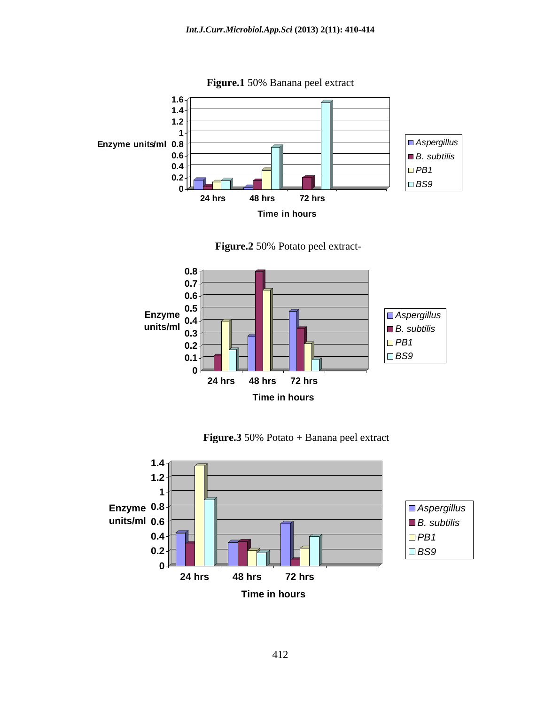

**Figure.1** 50% Banana peel extract







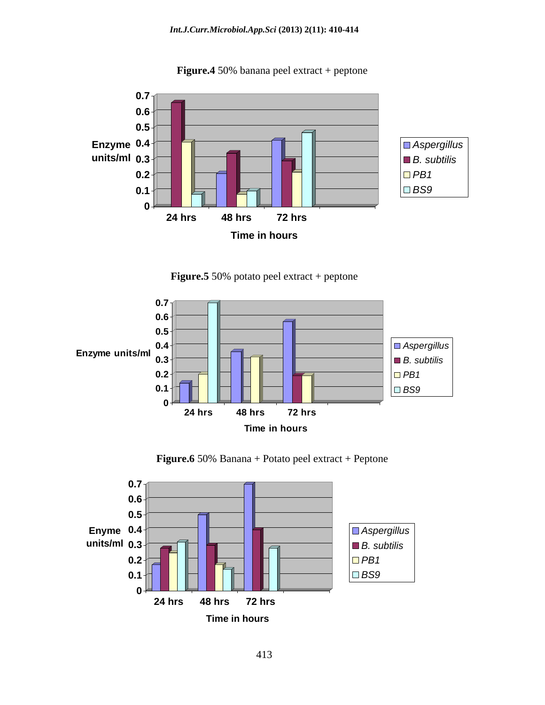

**Figure.4** 50% banana peel extract + peptone

**Figure.5** 50% potato peel extract + peptone



**Figure.6** 50% Banana + Potato peel extract + Peptone